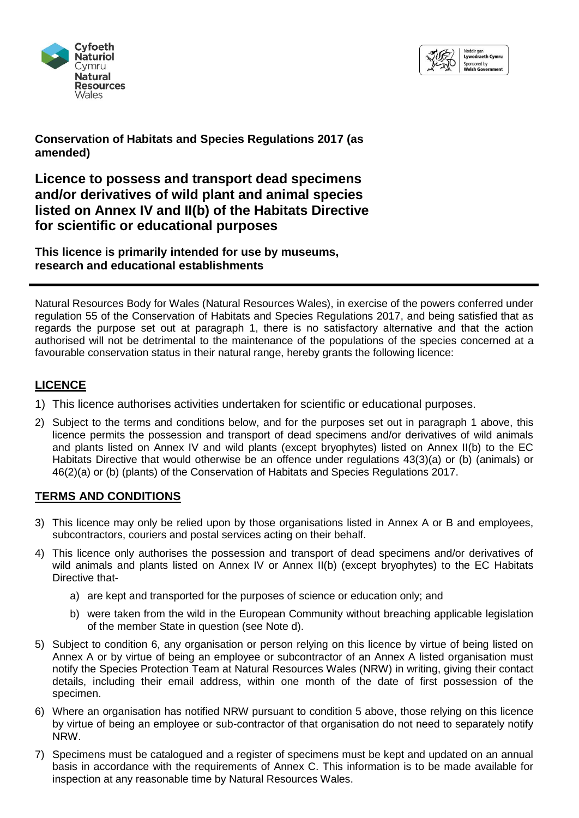



**Conservation of Habitats and Species Regulations 2017 (as amended)**

**Licence to possess and transport dead specimens and/or derivatives of wild plant and animal species listed on Annex IV and II(b) of the Habitats Directive for scientific or educational purposes** 

*This licence is primarily intended for use by museums, research and educational establishments*

Natural Resources Body for Wales (Natural Resources Wales), in exercise of the powers conferred under regulation 55 of the Conservation of Habitats and Species Regulations 2017, and being satisfied that as regards the purpose set out at paragraph 1, there is no satisfactory alternative and that the action authorised will not be detrimental to the maintenance of the populations of the species concerned at a favourable conservation status in their natural range, hereby grants the following licence:

# **LICENCE**

- 1) This licence authorises activities undertaken for scientific or educational purposes.
- 2) Subject to the terms and conditions below, and for the purposes set out in paragraph 1 above, this licence permits the possession and transport of dead specimens and/or derivatives of wild animals and plants listed on Annex IV and wild plants (except bryophytes) listed on Annex II(b) to the EC Habitats Directive that would otherwise be an offence under regulations 43(3)(a) or (b) (animals) or 46(2)(a) or (b) (plants) of the Conservation of Habitats and Species Regulations 2017.

# **TERMS AND CONDITIONS**

- 3) This licence may only be relied upon by those organisations listed in Annex A or B and employees, subcontractors, couriers and postal services acting on their behalf.
- 4) This licence only authorises the possession and transport of dead specimens and/or derivatives of wild animals and plants listed on Annex IV or Annex II(b) (except bryophytes) to the EC Habitats Directive that
	- a) are kept and transported for the purposes of science or education only; and
	- b) were taken from the wild in the European Community without breaching applicable legislation of the member State in question (see Note d).
- 5) Subject to condition 6, any organisation or person relying on this licence by virtue of being listed on Annex A or by virtue of being an employee or subcontractor of an Annex A listed organisation must notify the Species Protection Team at Natural Resources Wales (NRW) in writing, giving their contact details, including their email address, within one month of the date of first possession of the specimen.
- 6) Where an organisation has notified NRW pursuant to condition 5 above, those relying on this licence by virtue of being an employee or sub-contractor of that organisation do not need to separately notify NRW.
- 7) Specimens must be catalogued and a register of specimens must be kept and updated on an annual basis in accordance with the requirements of Annex C. This information is to be made available for inspection at any reasonable time by Natural Resources Wales.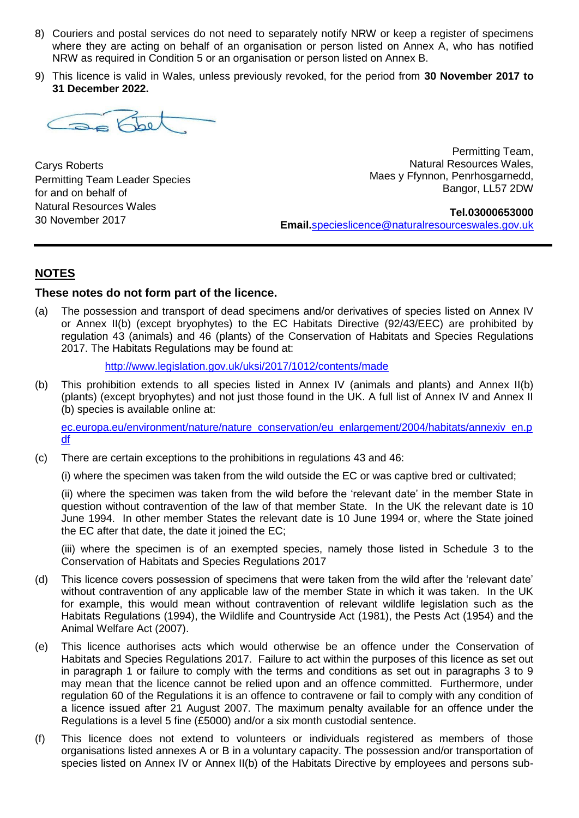- 8) Couriers and postal services do not need to separately notify NRW or keep a register of specimens where they are acting on behalf of an organisation or person listed on Annex A, who has notified NRW as required in Condition 5 or an organisation or person listed on Annex B.
- 9) This licence is valid in Wales, unless previously revoked, for the period from **30 November 2017 to 31 December 2022.**

as Fbe

Carys Roberts Permitting Team Leader Species for and on behalf of Natural Resources Wales 30 November 2017

 Permitting Team, Natural Resources Wales, Maes y Ffynnon, Penrhosgarnedd, Bangor, LL57 2DW

**Tel.03000653000 Email.**[specieslicence@naturalresourceswales.gov.uk](mailto:specieslicence@naturalresouceswales.gov.uk)

### **NOTES**

#### **These notes do not form part of the licence.**

(a) The possession and transport of dead specimens and/or derivatives of species listed on Annex IV or Annex II(b) (except bryophytes) to the EC Habitats Directive (92/43/EEC) are prohibited by regulation 43 (animals) and 46 (plants) of the Conservation of Habitats and Species Regulations 2017. The Habitats Regulations may be found at:

<http://www.legislation.gov.uk/uksi/2017/1012/contents/made>

(b) This prohibition extends to all species listed in Annex IV (animals and plants) and Annex II(b) (plants) (except bryophytes) and not just those found in the UK. A full list of Annex IV and Annex II (b) species is available online at:

[ec.europa.eu/environment/nature/nature\\_conservation/eu\\_enlargement/2004/habitats/annexiv\\_en.p](http://ec.europa.eu/environment/nature/nature_conservation/eu_enlargement/2004/habitats/annexiv_en.pdf) [df](http://ec.europa.eu/environment/nature/nature_conservation/eu_enlargement/2004/habitats/annexiv_en.pdf)

(c) There are certain exceptions to the prohibitions in regulations 43 and 46:

(i) where the specimen was taken from the wild outside the EC or was captive bred or cultivated;

(ii) where the specimen was taken from the wild before the 'relevant date' in the member State in question without contravention of the law of that member State. In the UK the relevant date is 10 June 1994. In other member States the relevant date is 10 June 1994 or, where the State joined the EC after that date, the date it joined the EC;

(iii) where the specimen is of an exempted species, namely those listed in Schedule 3 to the Conservation of Habitats and Species Regulations 2017

- (d) This licence covers possession of specimens that were taken from the wild after the 'relevant date' without contravention of any applicable law of the member State in which it was taken. In the UK for example, this would mean without contravention of relevant wildlife legislation such as the Habitats Regulations (1994), the Wildlife and Countryside Act (1981), the Pests Act (1954) and the Animal Welfare Act (2007).
- (e) This licence authorises acts which would otherwise be an offence under the Conservation of Habitats and Species Regulations 2017. Failure to act within the purposes of this licence as set out in paragraph 1 or failure to comply with the terms and conditions as set out in paragraphs 3 to 9 may mean that the licence cannot be relied upon and an offence committed. Furthermore, under regulation 60 of the Regulations it is an offence to contravene or fail to comply with any condition of a licence issued after 21 August 2007. The maximum penalty available for an offence under the Regulations is a level 5 fine (£5000) and/or a six month custodial sentence.
- (f) This licence does not extend to volunteers or individuals registered as members of those organisations listed annexes A or B in a voluntary capacity. The possession and/or transportation of species listed on Annex IV or Annex II(b) of the Habitats Directive by employees and persons sub-